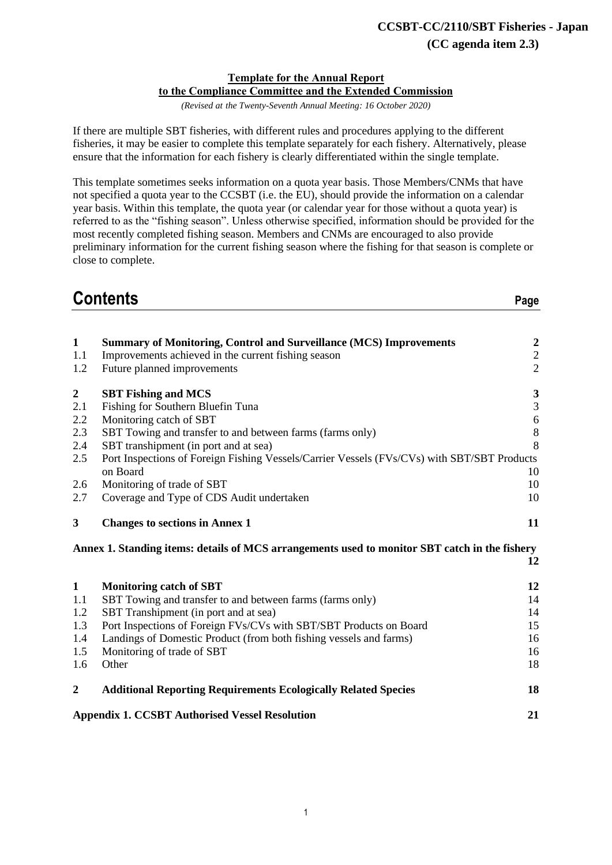#### **Template for the Annual Report to the Compliance Committee and the Extended Commission**

*(Revised at the Twenty-Seventh Annual Meeting: 16 October 2020)*

If there are multiple SBT fisheries, with different rules and procedures applying to the different fisheries, it may be easier to complete this template separately for each fishery. Alternatively, please ensure that the information for each fishery is clearly differentiated within the single template.

This template sometimes seeks information on a quota year basis. Those Members/CNMs that have not specified a quota year to the CCSBT (i.e. the EU), should provide the information on a calendar year basis. Within this template, the quota year (or calendar year for those without a quota year) is referred to as the "fishing season". Unless otherwise specified, information should be provided for the most recently completed fishing season. Members and CNMs are encouraged to also provide preliminary information for the current fishing season where the fishing for that season is complete or close to complete.

# **Contents Page**

| $\mathbf{1}$     | <b>Summary of Monitoring, Control and Surveillance (MCS) Improvements</b>                     | $\boldsymbol{2}$ |
|------------------|-----------------------------------------------------------------------------------------------|------------------|
| 1.1              | Improvements achieved in the current fishing season                                           | $\sqrt{2}$       |
| 1.2              | Future planned improvements                                                                   | $\overline{2}$   |
| $\boldsymbol{2}$ | <b>SBT Fishing and MCS</b>                                                                    | $\mathbf{3}$     |
| 2.1              | Fishing for Southern Bluefin Tuna                                                             | $\mathfrak{Z}$   |
| 2.2              | Monitoring catch of SBT                                                                       | $\sqrt{6}$       |
| 2.3              | SBT Towing and transfer to and between farms (farms only)                                     | $\,8\,$          |
| 2.4              | SBT transhipment (in port and at sea)                                                         | 8                |
| 2.5              | Port Inspections of Foreign Fishing Vessels/Carrier Vessels (FVs/CVs) with SBT/SBT Products   |                  |
|                  | on Board                                                                                      | 10               |
| 2.6              | Monitoring of trade of SBT                                                                    | 10               |
| 2.7              | Coverage and Type of CDS Audit undertaken                                                     | 10               |
| $\mathbf{3}$     | <b>Changes to sections in Annex 1</b>                                                         | 11               |
|                  | Annex 1. Standing items: details of MCS arrangements used to monitor SBT catch in the fishery |                  |
|                  |                                                                                               | 12               |
| $\mathbf{1}$     | <b>Monitoring catch of SBT</b>                                                                | 12               |
| 1.1              | SBT Towing and transfer to and between farms (farms only)                                     | 14               |
| 1.2              | SBT Transhipment (in port and at sea)                                                         | 14               |
| 1.3              | Port Inspections of Foreign FVs/CVs with SBT/SBT Products on Board                            | 15               |
| 1.4              | Landings of Domestic Product (from both fishing vessels and farms)                            | 16               |
| 1.5              | Monitoring of trade of SBT                                                                    | 16               |
| 1.6              | Other                                                                                         | 18               |
| $\boldsymbol{2}$ | <b>Additional Reporting Requirements Ecologically Related Species</b>                         | 18               |
|                  | <b>Appendix 1. CCSBT Authorised Vessel Resolution</b>                                         | 21               |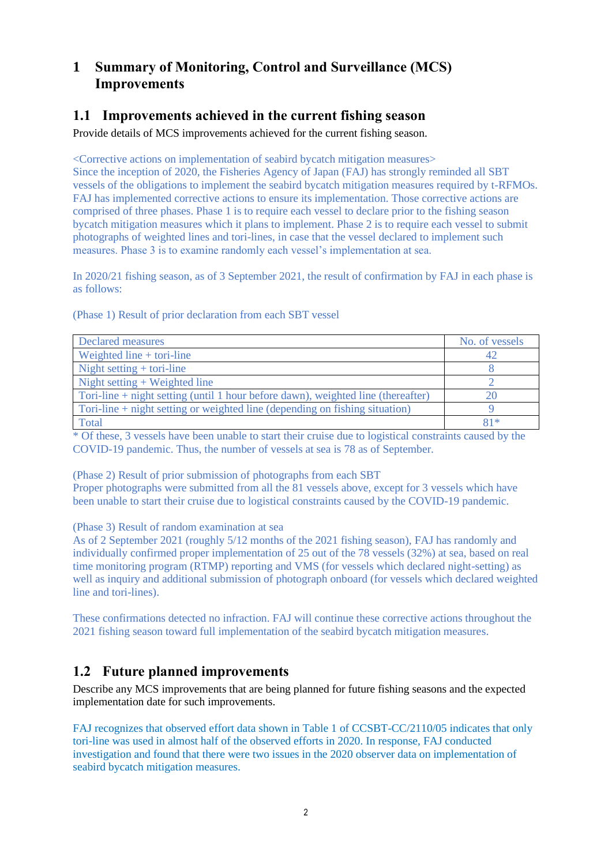# **1 Summary of Monitoring, Control and Surveillance (MCS) Improvements**

# **1.1 Improvements achieved in the current fishing season**

Provide details of MCS improvements achieved for the current fishing season.

<Corrective actions on implementation of seabird bycatch mitigation measures> Since the inception of 2020, the Fisheries Agency of Japan (FAJ) has strongly reminded all SBT vessels of the obligations to implement the seabird bycatch mitigation measures required by t-RFMOs. FAJ has implemented corrective actions to ensure its implementation. Those corrective actions are comprised of three phases. Phase 1 is to require each vessel to declare prior to the fishing season bycatch mitigation measures which it plans to implement. Phase 2 is to require each vessel to submit photographs of weighted lines and tori-lines, in case that the vessel declared to implement such measures. Phase 3 is to examine randomly each vessel's implementation at sea.

In 2020/21 fishing season, as of 3 September 2021, the result of confirmation by FAJ in each phase is as follows:

(Phase 1) Result of prior declaration from each SBT vessel

| Declared measures                                                                | No. of vessels |
|----------------------------------------------------------------------------------|----------------|
| Weighted line $+$ tori-line                                                      |                |
| Night setting $+$ tori-line                                                      |                |
| Night setting $+$ Weighted line                                                  |                |
| Tori-line + night setting (until 1 hour before dawn), weighted line (thereafter) |                |
| Tori-line $+$ night setting or weighted line (depending on fishing situation)    |                |
| Total                                                                            | $81*$          |

\* Of these, 3 vessels have been unable to start their cruise due to logistical constraints caused by the COVID-19 pandemic. Thus, the number of vessels at sea is 78 as of September.

(Phase 2) Result of prior submission of photographs from each SBT

Proper photographs were submitted from all the 81 vessels above, except for 3 vessels which have been unable to start their cruise due to logistical constraints caused by the COVID-19 pandemic.

(Phase 3) Result of random examination at sea

As of 2 September 2021 (roughly 5/12 months of the 2021 fishing season), FAJ has randomly and individually confirmed proper implementation of 25 out of the 78 vessels (32%) at sea, based on real time monitoring program (RTMP) reporting and VMS (for vessels which declared night-setting) as well as inquiry and additional submission of photograph onboard (for vessels which declared weighted line and tori-lines).

These confirmations detected no infraction. FAJ will continue these corrective actions throughout the 2021 fishing season toward full implementation of the seabird bycatch mitigation measures.

# **1.2 Future planned improvements**

Describe any MCS improvements that are being planned for future fishing seasons and the expected implementation date for such improvements.

FAJ recognizes that observed effort data shown in Table 1 of CCSBT-CC/2110/05 indicates that only tori-line was used in almost half of the observed efforts in 2020. In response, FAJ conducted investigation and found that there were two issues in the 2020 observer data on implementation of seabird bycatch mitigation measures.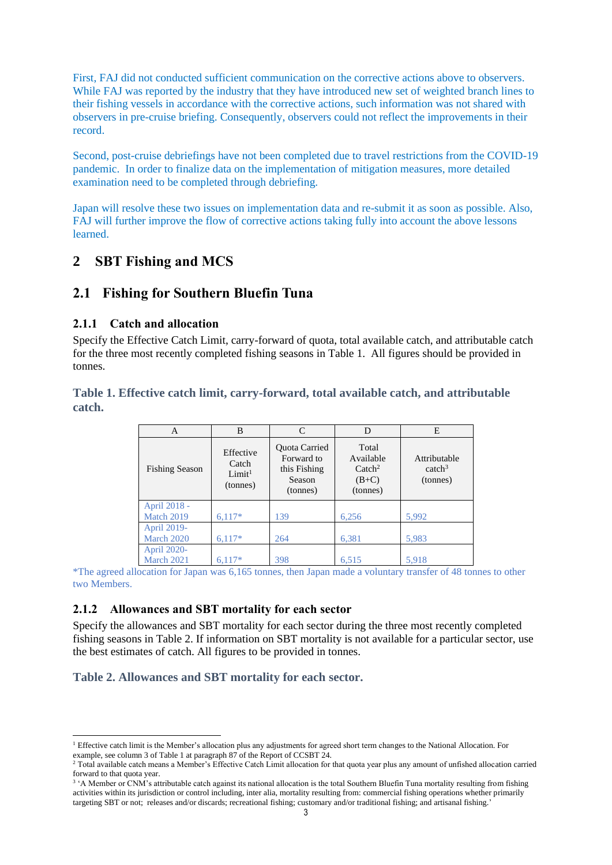First, FAJ did not conducted sufficient communication on the corrective actions above to observers. While FAJ was reported by the industry that they have introduced new set of weighted branch lines to their fishing vessels in accordance with the corrective actions, such information was not shared with observers in pre-cruise briefing. Consequently, observers could not reflect the improvements in their record.

Second, post-cruise debriefings have not been completed due to travel restrictions from the COVID-19 pandemic. In order to finalize data on the implementation of mitigation measures, more detailed examination need to be completed through debriefing.

Japan will resolve these two issues on implementation data and re-submit it as soon as possible. Also, FAJ will further improve the flow of corrective actions taking fully into account the above lessons learned.

# **2 SBT Fishing and MCS**

# **2.1 Fishing for Southern Bluefin Tuna**

## **2.1.1 Catch and allocation**

Specify the Effective Catch Limit, carry-forward of quota, total available catch, and attributable catch for the three most recently completed fishing seasons in Table 1. All figures should be provided in tonnes.

#### **Table 1. Effective catch limit, carry-forward, total available catch, and attributable catch.**

| А                                | B                                                    | C                                                                 | D                                                             | E                                              |
|----------------------------------|------------------------------------------------------|-------------------------------------------------------------------|---------------------------------------------------------------|------------------------------------------------|
| <b>Fishing Season</b>            | Effective<br>Catch<br>Limit <sup>1</sup><br>(tonnes) | Quota Carried<br>Forward to<br>this Fishing<br>Season<br>(tonnes) | Total<br>Available<br>$\text{Catch}^2$<br>$(B+C)$<br>(tonnes) | Attributable<br>catch <sup>3</sup><br>(tonnes) |
| April 2018 -<br>Match 2019       | $6,117*$                                             | 139                                                               | 6,256                                                         | 5,992                                          |
| April 2019-<br><b>March 2020</b> | $6,117*$                                             | 264                                                               | 6,381                                                         | 5,983                                          |
| April 2020-<br>March 2021        | $6.117*$                                             | 398                                                               | 6,515                                                         | 5,918                                          |

\*The agreed allocation for Japan was 6,165 tonnes, then Japan made a voluntary transfer of 48 tonnes to other two Members.

## **2.1.2 Allowances and SBT mortality for each sector**

Specify the allowances and SBT mortality for each sector during the three most recently completed fishing seasons in Table 2. If information on SBT mortality is not available for a particular sector, use the best estimates of catch. All figures to be provided in tonnes.

## **Table 2. Allowances and SBT mortality for each sector.**

<sup>&</sup>lt;sup>1</sup> Effective catch limit is the Member's allocation plus any adjustments for agreed short term changes to the National Allocation. For example, see column 3 of Table 1 at paragraph 87 of the Report of CCSBT 24.

<sup>&</sup>lt;sup>2</sup> Total available catch means a Member's Effective Catch Limit allocation for that quota year plus any amount of unfished allocation carried forward to that quota year.

<sup>&</sup>lt;sup>3</sup> 'A Member or CNM's attributable catch against its national allocation is the total Southern Bluefin Tuna mortality resulting from fishing activities within its jurisdiction or control including, inter alia, mortality resulting from: commercial fishing operations whether primarily targeting SBT or not; releases and/or discards; recreational fishing; customary and/or traditional fishing; and artisanal fishing.'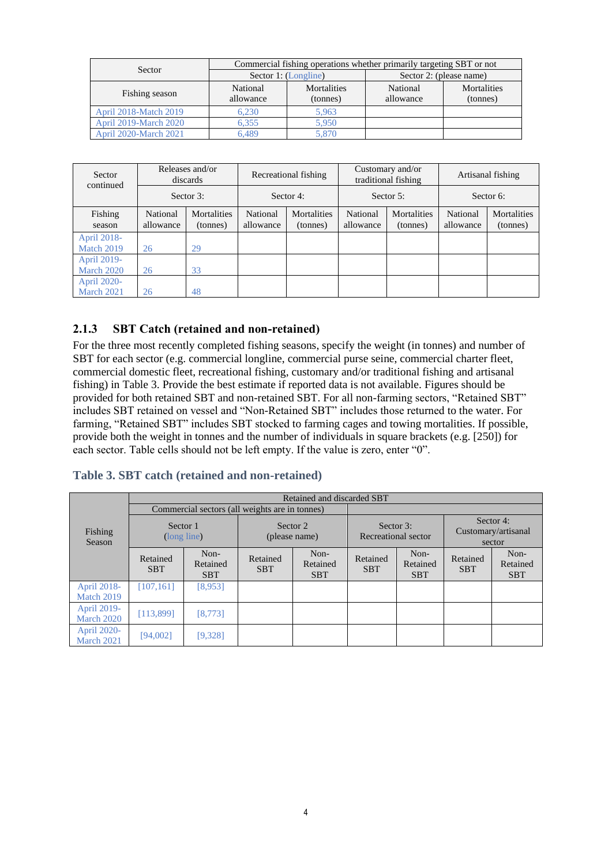|                       | Commercial fishing operations whether primarily targeting SBT or not |                         |                         |                                |  |
|-----------------------|----------------------------------------------------------------------|-------------------------|-------------------------|--------------------------------|--|
| Sector                |                                                                      | Sector 1: (Longline)    | Sector 2: (please name) |                                |  |
| Fishing season        | National<br>allowance                                                | Mortalities<br>(tonnes) | National<br>allowance   | <b>Mortalities</b><br>(tonnes) |  |
| April 2018-Match 2019 | 6.230                                                                | 5.963                   |                         |                                |  |
| April 2019-March 2020 | 6.355                                                                | 5.950                   |                         |                                |  |
| April 2020-March 2021 | 6.489                                                                | 5.870                   |                         |                                |  |

| Sector<br>continued       |                       | Releases and/or<br>discards |                       | Recreational fishing    |                       | Customary and/or<br>traditional fishing |                       | Artisanal fishing       |
|---------------------------|-----------------------|-----------------------------|-----------------------|-------------------------|-----------------------|-----------------------------------------|-----------------------|-------------------------|
|                           |                       | Sector 3:                   |                       | Sector 4:               | Sector 5:             |                                         | Sector 6:             |                         |
| Fishing<br>season         | National<br>allowance | Mortalities<br>(tonnes)     | National<br>allowance | Mortalities<br>(tonnes) | National<br>allowance | Mortalities<br>(tonnes)                 | National<br>allowance | Mortalities<br>(tonnes) |
| April 2018-<br>Match 2019 | 26                    | 29                          |                       |                         |                       |                                         |                       |                         |
| April 2019-<br>March 2020 | 26                    | 33                          |                       |                         |                       |                                         |                       |                         |
| April 2020-<br>March 2021 | 26                    | 48                          |                       |                         |                       |                                         |                       |                         |

#### **2.1.3 SBT Catch (retained and non-retained)**

For the three most recently completed fishing seasons, specify the weight (in tonnes) and number of SBT for each sector (e.g. commercial longline, commercial purse seine, commercial charter fleet, commercial domestic fleet, recreational fishing, customary and/or traditional fishing and artisanal fishing) in Table 3. Provide the best estimate if reported data is not available. Figures should be provided for both retained SBT and non-retained SBT. For all non-farming sectors, "Retained SBT" includes SBT retained on vessel and "Non-Retained SBT" includes those returned to the water. For farming, "Retained SBT" includes SBT stocked to farming cages and towing mortalities. If possible, provide both the weight in tonnes and the number of individuals in square brackets (e.g. [250]) for each sector. Table cells should not be left empty. If the value is zero, enter "0".

#### **Table 3. SBT catch (retained and non-retained)**

|                           | Retained and discarded SBT |                                |                                                |                                |                                  |                                |                        |                                            |
|---------------------------|----------------------------|--------------------------------|------------------------------------------------|--------------------------------|----------------------------------|--------------------------------|------------------------|--------------------------------------------|
|                           |                            |                                | Commercial sectors (all weights are in tonnes) |                                |                                  |                                |                        |                                            |
| Fishing<br>Season         | Sector 1                   | (long line)                    |                                                | Sector 2<br>(please name)      | Sector 3:<br>Recreational sector |                                |                        | Sector 4:<br>Customary/artisanal<br>sector |
|                           | Retained<br><b>SBT</b>     | Non-<br>Retained<br><b>SBT</b> | Retained<br><b>SBT</b>                         | Non-<br>Retained<br><b>SBT</b> | Retained<br><b>SBT</b>           | Non-<br>Retained<br><b>SBT</b> | Retained<br><b>SBT</b> | Non-<br>Retained<br><b>SBT</b>             |
| April 2018-<br>Match 2019 | [107, 161]                 | [8, 953]                       |                                                |                                |                                  |                                |                        |                                            |
| April 2019-<br>March 2020 | [113,899]                  | [8, 773]                       |                                                |                                |                                  |                                |                        |                                            |
| April 2020-<br>March 2021 | [94,002]                   | [9,328]                        |                                                |                                |                                  |                                |                        |                                            |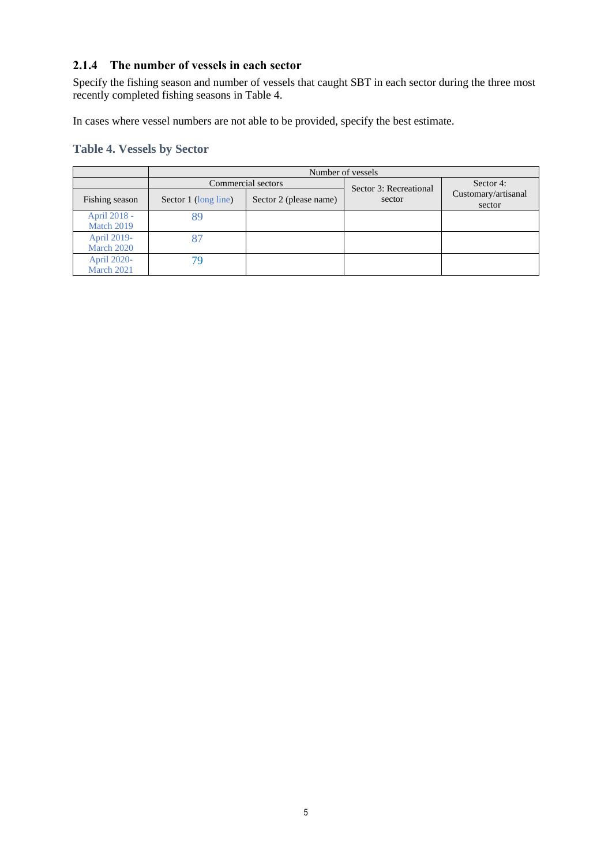## **2.1.4 The number of vessels in each sector**

Specify the fishing season and number of vessels that caught SBT in each sector during the three most recently completed fishing seasons in Table 4.

In cases where vessel numbers are not able to be provided, specify the best estimate.

## **Table 4. Vessels by Sector**

|                            | Number of vessels    |                        |                        |                               |  |  |
|----------------------------|----------------------|------------------------|------------------------|-------------------------------|--|--|
|                            |                      | Commercial sectors     | Sector 3: Recreational | Sector 4:                     |  |  |
| Fishing season             | Sector 1 (long line) | Sector 2 (please name) | sector                 | Customary/artisanal<br>sector |  |  |
| April 2018 -<br>Match 2019 | 89                   |                        |                        |                               |  |  |
| April 2019-<br>March 2020  |                      |                        |                        |                               |  |  |
| April 2020-<br>March 2021  | 79                   |                        |                        |                               |  |  |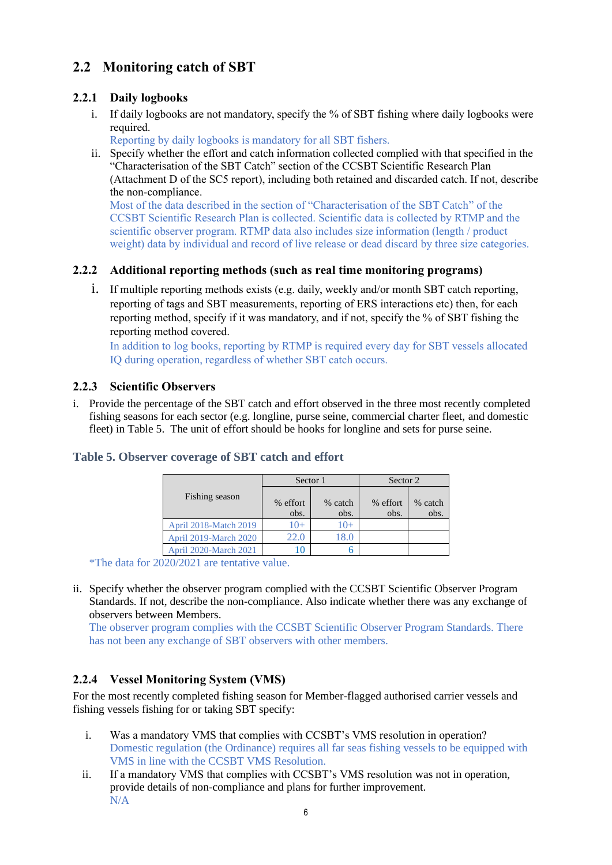# **2.2 Monitoring catch of SBT**

## **2.2.1 Daily logbooks**

i. If daily logbooks are not mandatory, specify the % of SBT fishing where daily logbooks were required.

Reporting by daily logbooks is mandatory for all SBT fishers.

ii. Specify whether the effort and catch information collected complied with that specified in the "Characterisation of the SBT Catch" section of the CCSBT Scientific Research Plan (Attachment D of the SC5 report), including both retained and discarded catch. If not, describe the non-compliance.

Most of the data described in the section of "Characterisation of the SBT Catch" of the CCSBT Scientific Research Plan is collected. Scientific data is collected by RTMP and the scientific observer program. RTMP data also includes size information (length / product weight) data by individual and record of live release or dead discard by three size categories.

## **2.2.2 Additional reporting methods (such as real time monitoring programs)**

i. If multiple reporting methods exists (e.g. daily, weekly and/or month SBT catch reporting, reporting of tags and SBT measurements, reporting of ERS interactions etc) then, for each reporting method, specify if it was mandatory, and if not, specify the % of SBT fishing the reporting method covered.

In addition to log books, reporting by RTMP is required every day for SBT vessels allocated IQ during operation, regardless of whether SBT catch occurs.

## **2.2.3 Scientific Observers**

i. Provide the percentage of the SBT catch and effort observed in the three most recently completed fishing seasons for each sector (e.g. longline, purse seine, commercial charter fleet, and domestic fleet) in Table 5. The unit of effort should be hooks for longline and sets for purse seine.

|                       | Sector 1         |                 | Sector 2         |                 |
|-----------------------|------------------|-----------------|------------------|-----------------|
| Fishing season        | % effort<br>obs. | % catch<br>obs. | % effort<br>obs. | % catch<br>obs. |
| April 2018-Match 2019 | $10+$            | $(0+$           |                  |                 |
| April 2019-March 2020 | 22.0             | 18.0            |                  |                 |
| April 2020-March 2021 |                  |                 |                  |                 |

## **Table 5. Observer coverage of SBT catch and effort**

\*The data for 2020/2021 are tentative value.

ii. Specify whether the observer program complied with the CCSBT Scientific Observer Program Standards. If not, describe the non-compliance. Also indicate whether there was any exchange of observers between Members.

The observer program complies with the CCSBT Scientific Observer Program Standards. There has not been any exchange of SBT observers with other members.

## **2.2.4 Vessel Monitoring System (VMS)**

For the most recently completed fishing season for Member-flagged authorised carrier vessels and fishing vessels fishing for or taking SBT specify:

- i. Was a mandatory VMS that complies with CCSBT's VMS resolution in operation? Domestic regulation (the Ordinance) requires all far seas fishing vessels to be equipped with VMS in line with the CCSBT VMS Resolution.
- ii. If a mandatory VMS that complies with CCSBT's VMS resolution was not in operation, provide details of non-compliance and plans for further improvement. N/A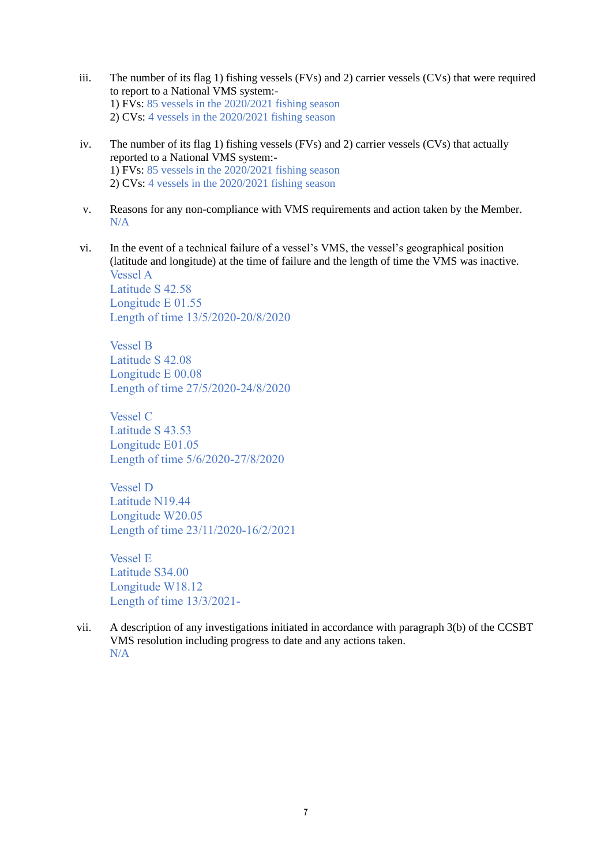- iii. The number of its flag 1) fishing vessels (FVs) and 2) carrier vessels (CVs) that were required to report to a National VMS system:- 1) FVs: 85 vessels in the 2020/2021 fishing season 2) CVs: 4 vessels in the 2020/2021 fishing season
- iv. The number of its flag 1) fishing vessels (FVs) and 2) carrier vessels (CVs) that actually reported to a National VMS system:- 1) FVs: 85 vessels in the 2020/2021 fishing season 2) CVs: 4 vessels in the 2020/2021 fishing season
- v. Reasons for any non-compliance with VMS requirements and action taken by the Member. N/A
- vi. In the event of a technical failure of a vessel's VMS, the vessel's geographical position (latitude and longitude) at the time of failure and the length of time the VMS was inactive. Vessel A Latitude S 42.58 Longitude E 01.55 Length of time 13/5/2020-20/8/2020

Vessel B Latitude S 42.08 Longitude E 00.08 Length of time 27/5/2020-24/8/2020

Vessel C Latitude S 43.53 Longitude E01.05 Length of time 5/6/2020-27/8/2020

Vessel D Latitude N19.44 Longitude W20.05 Length of time 23/11/2020-16/2/2021

Vessel E Latitude S34.00 Longitude W18.12 Length of time 13/3/2021-

vii. A description of any investigations initiated in accordance with paragraph 3(b) of the CCSBT VMS resolution including progress to date and any actions taken. N/A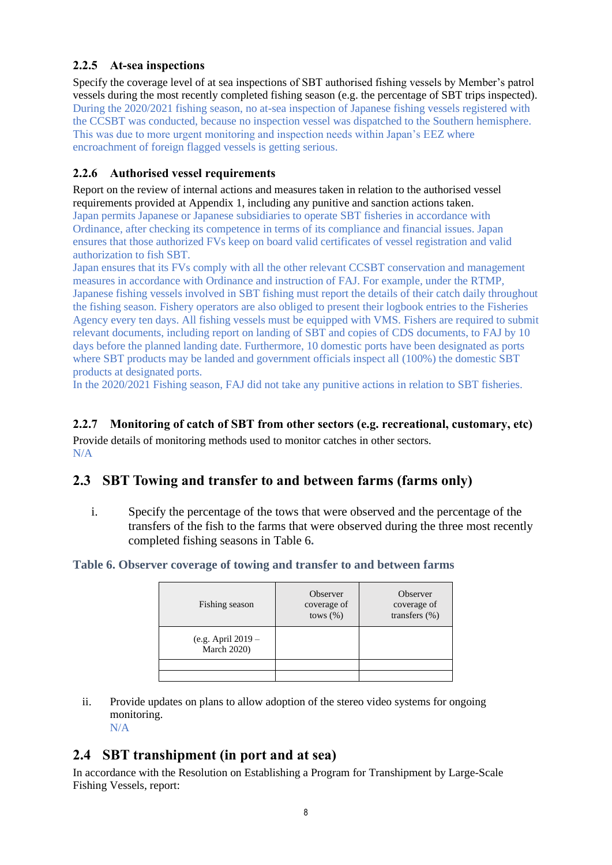## **2.2.5 At-sea inspections**

Specify the coverage level of at sea inspections of SBT authorised fishing vessels by Member's patrol vessels during the most recently completed fishing season (e.g. the percentage of SBT trips inspected). During the 2020/2021 fishing season, no at-sea inspection of Japanese fishing vessels registered with the CCSBT was conducted, because no inspection vessel was dispatched to the Southern hemisphere. This was due to more urgent monitoring and inspection needs within Japan's EEZ where encroachment of foreign flagged vessels is getting serious.

## **2.2.6 Authorised vessel requirements**

Report on the review of internal actions and measures taken in relation to the authorised vessel requirements provided at Appendix 1, including any punitive and sanction actions taken. Japan permits Japanese or Japanese subsidiaries to operate SBT fisheries in accordance with Ordinance, after checking its competence in terms of its compliance and financial issues. Japan ensures that those authorized FVs keep on board valid certificates of vessel registration and valid authorization to fish SBT.

Japan ensures that its FVs comply with all the other relevant CCSBT conservation and management measures in accordance with Ordinance and instruction of FAJ. For example, under the RTMP, Japanese fishing vessels involved in SBT fishing must report the details of their catch daily throughout the fishing season. Fishery operators are also obliged to present their logbook entries to the Fisheries Agency every ten days. All fishing vessels must be equipped with VMS. Fishers are required to submit relevant documents, including report on landing of SBT and copies of CDS documents, to FAJ by 10 days before the planned landing date. Furthermore, 10 domestic ports have been designated as ports where SBT products may be landed and government officials inspect all (100%) the domestic SBT products at designated ports.

In the 2020/2021 Fishing season, FAJ did not take any punitive actions in relation to SBT fisheries.

#### **2.2.7 Monitoring of catch of SBT from other sectors (e.g. recreational, customary, etc)**

Provide details of monitoring methods used to monitor catches in other sectors. N/A

## **2.3 SBT Towing and transfer to and between farms (farms only)**

i. Specify the percentage of the tows that were observed and the percentage of the transfers of the fish to the farms that were observed during the three most recently completed fishing seasons in Table 6**.**

#### **Table 6. Observer coverage of towing and transfer to and between farms**

| Fishing season                           | Observer<br>coverage of<br>tows $(\% )$ | Observer<br>coverage of<br>transfers $(\%)$ |
|------------------------------------------|-----------------------------------------|---------------------------------------------|
| (e.g. April 2019 -<br><b>March 2020)</b> |                                         |                                             |
|                                          |                                         |                                             |
|                                          |                                         |                                             |

ii. Provide updates on plans to allow adoption of the stereo video systems for ongoing monitoring. N/A

# **2.4 SBT transhipment (in port and at sea)**

In accordance with the Resolution on Establishing a Program for Transhipment by Large-Scale Fishing Vessels, report: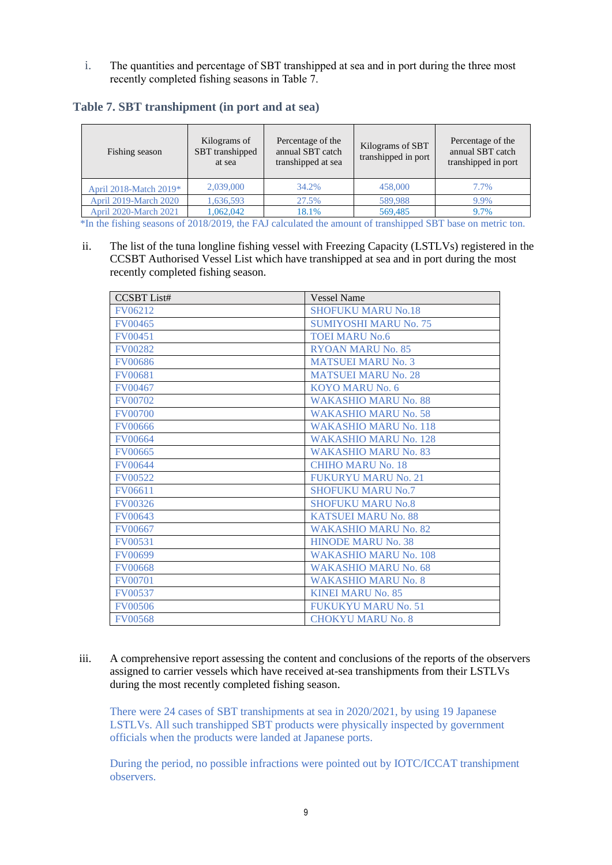i. The quantities and percentage of SBT transhipped at sea and in port during the three most recently completed fishing seasons in Table 7.

| Table 7. SBT transhipment (in port and at sea) |  |  |  |  |
|------------------------------------------------|--|--|--|--|
|------------------------------------------------|--|--|--|--|

| Fishing season               | Kilograms of<br>SBT transhipped<br>at sea | Percentage of the<br>annual SBT catch<br>transhipped at sea | Kilograms of SBT<br>transhipped in port | Percentage of the<br>annual SBT catch<br>transhipped in port |
|------------------------------|-------------------------------------------|-------------------------------------------------------------|-----------------------------------------|--------------------------------------------------------------|
| April 2018-Match 2019*       | 2,039,000                                 | 34.2%                                                       | 458,000                                 | 7.7%                                                         |
| <b>April 2019-March 2020</b> | 1,636,593                                 | 27.5%                                                       | 589,988                                 | 9.9%                                                         |
| <b>April 2020-March 2021</b> | 1,062,042                                 | 18.1%                                                       | 569,485                                 | 9.7%                                                         |

\*In the fishing seasons of 2018/2019, the FAJ calculated the amount of transhipped SBT base on metric ton.

ii. The list of the tuna longline fishing vessel with Freezing Capacity (LSTLVs) registered in the CCSBT Authorised Vessel List which have transhipped at sea and in port during the most recently completed fishing season.

| <b>CCSBT</b> List# | <b>Vessel Name</b>           |
|--------------------|------------------------------|
| FV06212            | <b>SHOFUKU MARU No.18</b>    |
| <b>FV00465</b>     | <b>SUMIYOSHI MARU No. 75</b> |
| <b>FV00451</b>     | <b>TOEI MARU No.6</b>        |
| <b>FV00282</b>     | RYOAN MARU No. 85            |
| <b>FV00686</b>     | <b>MATSUEI MARU No. 3</b>    |
| <b>FV00681</b>     | <b>MATSUEI MARU No. 28</b>   |
| <b>FV00467</b>     | KOYO MARU No. 6              |
| <b>FV00702</b>     | <b>WAKASHIO MARU No. 88</b>  |
| <b>FV00700</b>     | <b>WAKASHIO MARU No. 58</b>  |
| <b>FV00666</b>     | <b>WAKASHIO MARU No. 118</b> |
| <b>FV00664</b>     | <b>WAKASHIO MARU No. 128</b> |
| <b>FV00665</b>     | <b>WAKASHIO MARU No. 83</b>  |
| <b>FV00644</b>     | <b>CHIHO MARU No. 18</b>     |
| <b>FV00522</b>     | FUKURYU MARU No. 21          |
| FV06611            | <b>SHOFUKU MARU No.7</b>     |
| <b>FV00326</b>     | <b>SHOFUKU MARU No.8</b>     |
| FV00643            | <b>KATSUEI MARU No. 88</b>   |
| <b>FV00667</b>     | <b>WAKASHIO MARU No. 82</b>  |
| <b>FV00531</b>     | <b>HINODE MARU No. 38</b>    |
| <b>FV00699</b>     | <b>WAKASHIO MARU No. 108</b> |
| <b>FV00668</b>     | <b>WAKASHIO MARU No. 68</b>  |
| <b>FV00701</b>     | <b>WAKASHIO MARU No. 8</b>   |
| <b>FV00537</b>     | <b>KINEI MARU No. 85</b>     |
| <b>FV00506</b>     | <b>FUKUKYU MARU No. 51</b>   |
| <b>FV00568</b>     | <b>CHOKYU MARU No. 8</b>     |

iii. A comprehensive report assessing the content and conclusions of the reports of the observers assigned to carrier vessels which have received at-sea transhipments from their LSTLVs during the most recently completed fishing season.

There were 24 cases of SBT transhipments at sea in 2020/2021, by using 19 Japanese LSTLVs. All such transhipped SBT products were physically inspected by government officials when the products were landed at Japanese ports.

During the period, no possible infractions were pointed out by IOTC/ICCAT transhipment observers.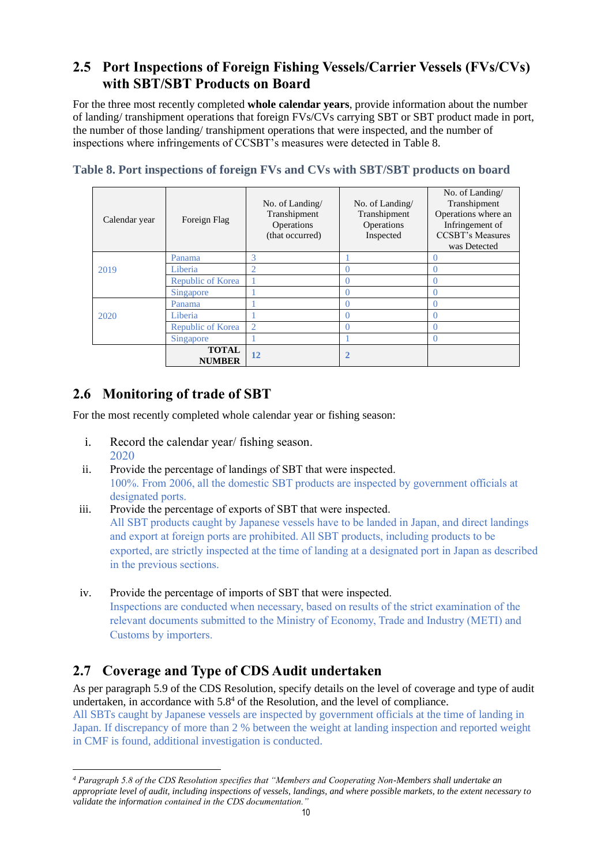# **2.5 Port Inspections of Foreign Fishing Vessels/Carrier Vessels (FVs/CVs) with SBT/SBT Products on Board**

For the three most recently completed **whole calendar years**, provide information about the number of landing/ transhipment operations that foreign FVs/CVs carrying SBT or SBT product made in port, the number of those landing/ transhipment operations that were inspected, and the number of inspections where infringements of CCSBT's measures were detected in Table 8.

| Calendar year | Foreign Flag                  | No. of Landing/<br>Transhipment<br>Operations<br>(that occurred) | No. of Landing/<br>Transhipment<br>Operations<br>Inspected | No. of Landing/<br>Transhipment<br>Operations where an<br>Infringement of<br><b>CCSBT's Measures</b><br>was Detected |
|---------------|-------------------------------|------------------------------------------------------------------|------------------------------------------------------------|----------------------------------------------------------------------------------------------------------------------|
|               | Panama                        | 3                                                                |                                                            | 0                                                                                                                    |
| 2019          | Liberia                       | $\overline{2}$                                                   |                                                            |                                                                                                                      |
|               | Republic of Korea             |                                                                  |                                                            | 0                                                                                                                    |
|               | Singapore                     |                                                                  |                                                            | $\theta$                                                                                                             |
|               | Panama                        |                                                                  |                                                            | O                                                                                                                    |
| 2020          | Liberia                       |                                                                  |                                                            | 0                                                                                                                    |
|               | Republic of Korea             | $\overline{2}$                                                   |                                                            | 0                                                                                                                    |
|               | Singapore                     |                                                                  |                                                            | 0                                                                                                                    |
|               | <b>TOTAL</b><br><b>NUMBER</b> | 12                                                               |                                                            |                                                                                                                      |

**Table 8. Port inspections of foreign FVs and CVs with SBT/SBT products on board**

# **2.6 Monitoring of trade of SBT**

For the most recently completed whole calendar year or fishing season:

- i. Record the calendar year/ fishing season. 2020
- ii. Provide the percentage of landings of SBT that were inspected. 100%. From 2006, all the domestic SBT products are inspected by government officials at designated ports.
- iii. Provide the percentage of exports of SBT that were inspected. All SBT products caught by Japanese vessels have to be landed in Japan, and direct landings and export at foreign ports are prohibited. All SBT products, including products to be exported, are strictly inspected at the time of landing at a designated port in Japan as described in the previous sections.
- iv. Provide the percentage of imports of SBT that were inspected. Inspections are conducted when necessary, based on results of the strict examination of the relevant documents submitted to the Ministry of Economy, Trade and Industry (METI) and Customs by importers.

# **2.7 Coverage and Type of CDS Audit undertaken**

As per paragraph 5.9 of the CDS Resolution, specify details on the level of coverage and type of audit undertaken, in accordance with  $5.8<sup>4</sup>$  of the Resolution, and the level of compliance. All SBTs caught by Japanese vessels are inspected by government officials at the time of landing in Japan. If discrepancy of more than 2 % between the weight at landing inspection and reported weight in CMF is found, additional investigation is conducted.

*<sup>4</sup> Paragraph 5.8 of the CDS Resolution specifies that "Members and Cooperating Non-Members shall undertake an appropriate level of audit, including inspections of vessels, landings, and where possible markets, to the extent necessary to validate the information contained in the CDS documentation."*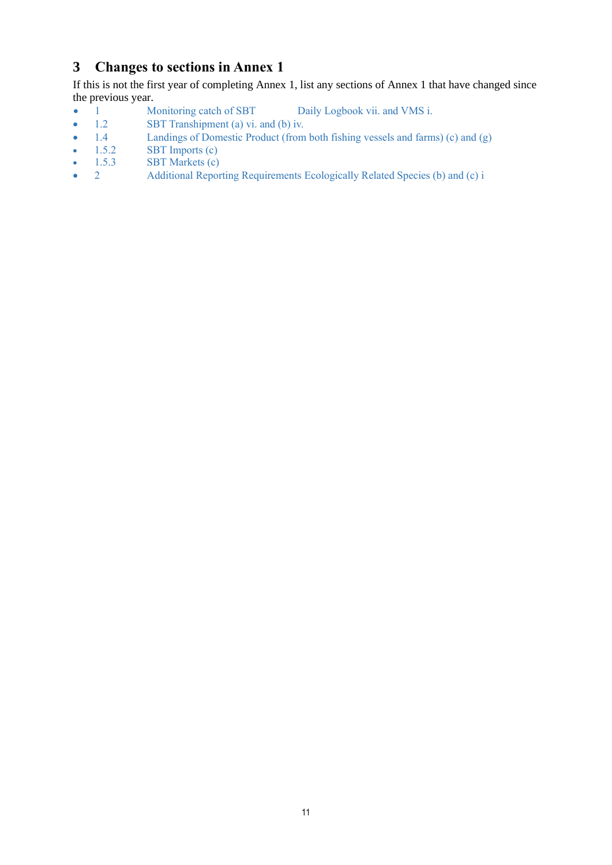# **3 Changes to sections in Annex 1**

If this is not the first year of completing Annex 1, list any sections of Annex 1 that have changed since the previous year.

- 1 Monitoring catch of SBT Daily Logbook vii. and VMS i.
- 1.2 SBT Transhipment (a) vi. and (b) iv.
- 1.4 Landings of Domestic Product (from both fishing vessels and farms) (c) and (g) <br>• 1.5.2 SBT Imports (c)
- $1.5.2$  SBT Imports (c)
- 1.5.3 SBT Markets (c)<br>
2 Additional Repor
- 2 Additional Reporting Requirements Ecologically Related Species (b) and (c) i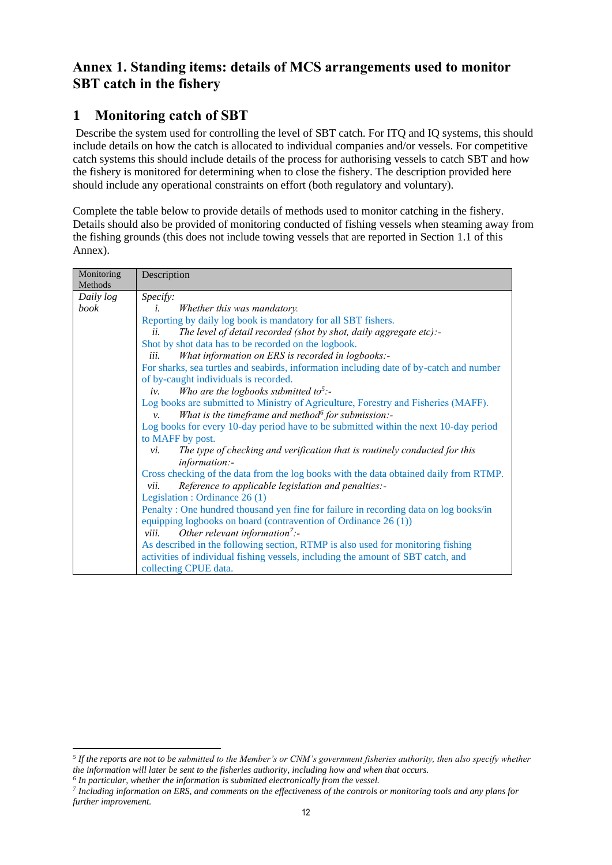# **Annex 1. Standing items: details of MCS arrangements used to monitor SBT catch in the fishery**

# **1 Monitoring catch of SBT**

Describe the system used for controlling the level of SBT catch. For ITQ and IQ systems, this should include details on how the catch is allocated to individual companies and/or vessels. For competitive catch systems this should include details of the process for authorising vessels to catch SBT and how the fishery is monitored for determining when to close the fishery. The description provided here should include any operational constraints on effort (both regulatory and voluntary).

Complete the table below to provide details of methods used to monitor catching in the fishery. Details should also be provided of monitoring conducted of fishing vessels when steaming away from the fishing grounds (this does not include towing vessels that are reported in Section 1.1 of this Annex).

| Monitoring<br>Methods | Description                                                                             |  |  |  |
|-----------------------|-----------------------------------------------------------------------------------------|--|--|--|
| Daily log             | Specify:                                                                                |  |  |  |
| book                  | Whether this was mandatory.<br>i.                                                       |  |  |  |
|                       | Reporting by daily log book is mandatory for all SBT fishers.                           |  |  |  |
|                       | The level of detail recorded (shot by shot, daily aggregate etc):-<br>ii.               |  |  |  |
|                       | Shot by shot data has to be recorded on the logbook.                                    |  |  |  |
|                       | What information on ERS is recorded in logbooks:-<br>iii.                               |  |  |  |
|                       | For sharks, sea turtles and seabirds, information including date of by-catch and number |  |  |  |
|                       | of by-caught individuals is recorded.                                                   |  |  |  |
|                       | Who are the logbooks submitted to <sup>5</sup> :-<br>iv.                                |  |  |  |
|                       | Log books are submitted to Ministry of Agriculture, Forestry and Fisheries (MAFF).      |  |  |  |
|                       | What is the timeframe and method for submission:-<br>$\nu$ .                            |  |  |  |
|                       | Log books for every 10-day period have to be submitted within the next 10-day period    |  |  |  |
|                       | to MAFF by post.                                                                        |  |  |  |
|                       | The type of checking and verification that is routinely conducted for this<br>vi.       |  |  |  |
|                       | information:-                                                                           |  |  |  |
|                       | Cross checking of the data from the log books with the data obtained daily from RTMP.   |  |  |  |
|                       | Reference to applicable legislation and penalties:-<br>vii.                             |  |  |  |
|                       | Legislation : Ordinance 26 (1)                                                          |  |  |  |
|                       | Penalty: One hundred thousand yen fine for failure in recording data on log books/in    |  |  |  |
|                       | equipping logbooks on board (contravention of Ordinance $26(1)$ )                       |  |  |  |
|                       | Other relevant information <sup>7</sup> :-<br>viii.                                     |  |  |  |
|                       | As described in the following section, RTMP is also used for monitoring fishing         |  |  |  |
|                       | activities of individual fishing vessels, including the amount of SBT catch, and        |  |  |  |
|                       | collecting CPUE data.                                                                   |  |  |  |

*<sup>5</sup> If the reports are not to be submitted to the Member's or CNM's government fisheries authority, then also specify whether the information will later be sent to the fisheries authority, including how and when that occurs.*

*<sup>6</sup> In particular, whether the information is submitted electronically from the vessel.*

*<sup>7</sup> Including information on ERS, and comments on the effectiveness of the controls or monitoring tools and any plans for further improvement.*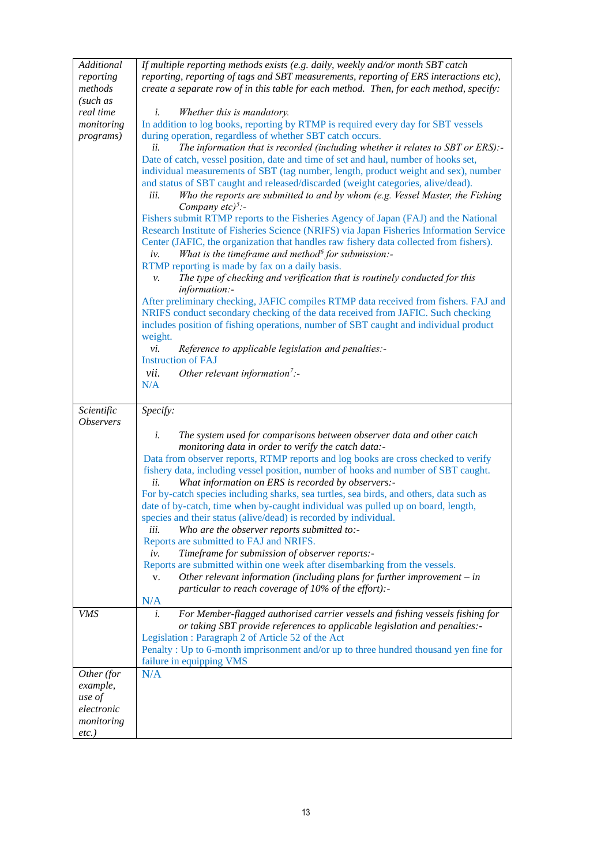| Additional              | If multiple reporting methods exists (e.g. daily, weekly and/or month SBT catch                                                                                         |
|-------------------------|-------------------------------------------------------------------------------------------------------------------------------------------------------------------------|
| reporting               | reporting, reporting of tags and SBT measurements, reporting of ERS interactions etc),                                                                                  |
| methods                 | create a separate row of in this table for each method. Then, for each method, specify:                                                                                 |
| (such as                |                                                                                                                                                                         |
| real time               | Whether this is mandatory.<br>i.                                                                                                                                        |
| monitoring              | In addition to log books, reporting by RTMP is required every day for SBT vessels                                                                                       |
| <i>programs</i> )       | during operation, regardless of whether SBT catch occurs.                                                                                                               |
|                         | The information that is recorded (including whether it relates to SBT or ERS):-<br>ii.                                                                                  |
|                         | Date of catch, vessel position, date and time of set and haul, number of hooks set,                                                                                     |
|                         | individual measurements of SBT (tag number, length, product weight and sex), number<br>and status of SBT caught and released/discarded (weight categories, alive/dead). |
|                         | Who the reports are submitted to and by whom (e.g. Vessel Master, the Fishing<br>iii.                                                                                   |
|                         | Company $etc)^5$ :-                                                                                                                                                     |
|                         | Fishers submit RTMP reports to the Fisheries Agency of Japan (FAJ) and the National                                                                                     |
|                         | Research Institute of Fisheries Science (NRIFS) via Japan Fisheries Information Service                                                                                 |
|                         | Center (JAFIC, the organization that handles raw fishery data collected from fishers).                                                                                  |
|                         | What is the timeframe and method for submission:-<br>iv.                                                                                                                |
|                         | RTMP reporting is made by fax on a daily basis.                                                                                                                         |
|                         | The type of checking and verification that is routinely conducted for this<br>ν.                                                                                        |
|                         | information:-                                                                                                                                                           |
|                         | After preliminary checking, JAFIC compiles RTMP data received from fishers. FAJ and                                                                                     |
|                         | NRIFS conduct secondary checking of the data received from JAFIC. Such checking                                                                                         |
|                         | includes position of fishing operations, number of SBT caught and individual product                                                                                    |
|                         | weight.                                                                                                                                                                 |
|                         | Reference to applicable legislation and penalties:-<br>vi.<br><b>Instruction of FAJ</b>                                                                                 |
|                         | vii.<br>Other relevant information <sup>7</sup> :-                                                                                                                      |
|                         | N/A                                                                                                                                                                     |
|                         |                                                                                                                                                                         |
|                         |                                                                                                                                                                         |
| Scientific              | Specify:                                                                                                                                                                |
| <i><b>Observers</b></i> |                                                                                                                                                                         |
|                         | i.<br>The system used for comparisons between observer data and other catch                                                                                             |
|                         | monitoring data in order to verify the catch data:-                                                                                                                     |
|                         | Data from observer reports, RTMP reports and log books are cross checked to verify                                                                                      |
|                         | fishery data, including vessel position, number of hooks and number of SBT caught.                                                                                      |
|                         | What information on ERS is recorded by observers:-<br>ii.                                                                                                               |
|                         | For by-catch species including sharks, sea turtles, sea birds, and others, data such as                                                                                 |
|                         | date of by-catch, time when by-caught individual was pulled up on board, length,                                                                                        |
|                         | species and their status (alive/dead) is recorded by individual.                                                                                                        |
|                         | iii.<br>Who are the observer reports submitted to:-                                                                                                                     |
|                         | Reports are submitted to FAJ and NRIFS.                                                                                                                                 |
|                         | Timeframe for submission of observer reports:-<br>iv.                                                                                                                   |
|                         | Reports are submitted within one week after disembarking from the vessels.<br>Other relevant information (including plans for further improvement $-$ in<br>V.          |
|                         | particular to reach coverage of 10% of the effort):-                                                                                                                    |
|                         | N/A                                                                                                                                                                     |
| <b>VMS</b>              | For Member-flagged authorised carrier vessels and fishing vessels fishing for<br>i.                                                                                     |
|                         | or taking SBT provide references to applicable legislation and penalties:-                                                                                              |
|                         | Legislation: Paragraph 2 of Article 52 of the Act                                                                                                                       |
|                         | Penalty: Up to 6-month imprisonment and/or up to three hundred thousand yen fine for                                                                                    |
|                         | failure in equipping VMS                                                                                                                                                |
| Other (for              | N/A                                                                                                                                                                     |
| example,                |                                                                                                                                                                         |
| use of                  |                                                                                                                                                                         |
| electronic              |                                                                                                                                                                         |
| monitoring<br>$etc.$ )  |                                                                                                                                                                         |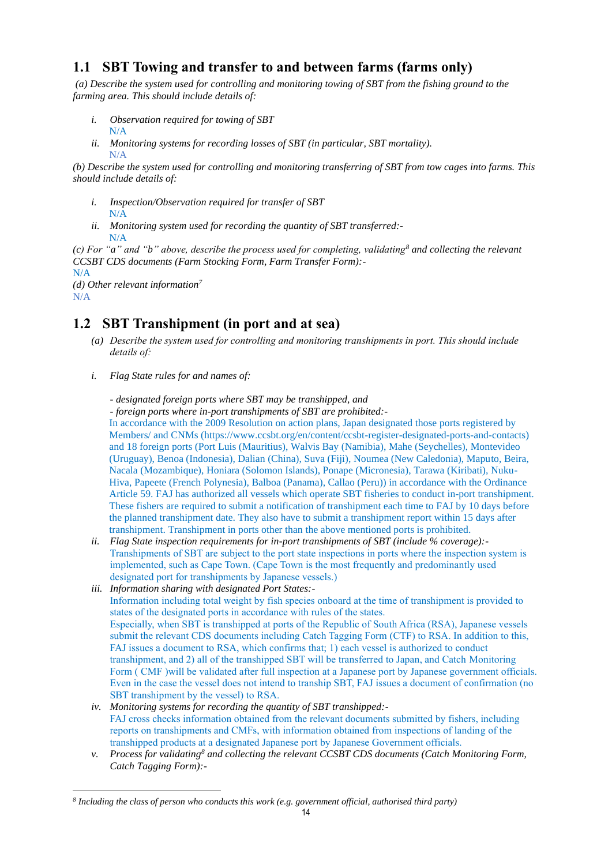# **1.1 SBT Towing and transfer to and between farms (farms only)**

*(a) Describe the system used for controlling and monitoring towing of SBT from the fishing ground to the farming area. This should include details of:*

- *i. Observation required for towing of SBT*  N/A
- *ii. Monitoring systems for recording losses of SBT (in particular, SBT mortality).* N/A

*(b) Describe the system used for controlling and monitoring transferring of SBT from tow cages into farms. This should include details of:*

- *i. Inspection/Observation required for transfer of SBT*  N/A
- *ii. Monitoring system used for recording the quantity of SBT transferred:-* N/A

*(c) For "a" and "b" above, describe the process used for completing, validating<sup>8</sup> and collecting the relevant CCSBT CDS documents (Farm Stocking Form, Farm Transfer Form):-*

```
N/A
```
*(d) Other relevant information<sup>7</sup>*

N/A

# **1.2 SBT Transhipment (in port and at sea)**

- *(a) Describe the system used for controlling and monitoring transhipments in port. This should include details of:*
- *i. Flag State rules for and names of:*

*- designated foreign ports where SBT may be transhipped, and* 

*- foreign ports where in-port transhipments of SBT are prohibited:-*

In accordance with the 2009 Resolution on action plans, Japan designated those ports registered by Members/ and CNMs (https://www.ccsbt.org/en/content/ccsbt-register-designated-ports-and-contacts) and 18 foreign ports (Port Luis (Mauritius), Walvis Bay (Namibia), Mahe (Seychelles), Montevideo (Uruguay), Benoa (Indonesia), Dalian (China), Suva (Fiji), Noumea (New Caledonia), Maputo, Beira, Nacala (Mozambique), Honiara (Solomon Islands), Ponape (Micronesia), Tarawa (Kiribati), Nuku-Hiva, Papeete (French Polynesia), Balboa (Panama), Callao (Peru)) in accordance with the Ordinance Article 59. FAJ has authorized all vessels which operate SBT fisheries to conduct in-port transhipment. These fishers are required to submit a notification of transhipment each time to FAJ by 10 days before the planned transhipment date. They also have to submit a transhipment report within 15 days after transhipment. Transhipment in ports other than the above mentioned ports is prohibited.

- *ii. Flag State inspection requirements for in-port transhipments of SBT (include % coverage):-* Transhipments of SBT are subject to the port state inspections in ports where the inspection system is implemented, such as Cape Town. (Cape Town is the most frequently and predominantly used designated port for transhipments by Japanese vessels.)
- *iii. Information sharing with designated Port States:-* Information including total weight by fish species onboard at the time of transhipment is provided to states of the designated ports in accordance with rules of the states. Especially, when SBT is transhipped at ports of the Republic of South Africa (RSA), Japanese vessels submit the relevant CDS documents including Catch Tagging Form (CTF) to RSA. In addition to this, FAJ issues a document to RSA, which confirms that; 1) each vessel is authorized to conduct transhipment, and 2) all of the transhipped SBT will be transferred to Japan, and Catch Monitoring Form ( CMF )will be validated after full inspection at a Japanese port by Japanese government officials. Even in the case the vessel does not intend to tranship SBT, FAJ issues a document of confirmation (no SBT transhipment by the vessel) to RSA.
- *iv. Monitoring systems for recording the quantity of SBT transhipped:-* FAJ cross checks information obtained from the relevant documents submitted by fishers, including reports on transhipments and CMFs, with information obtained from inspections of landing of the transhipped products at a designated Japanese port by Japanese Government officials.
- *v. Process for validating<sup>8</sup> and collecting the relevant CCSBT CDS documents (Catch Monitoring Form, Catch Tagging Form):-*

*<sup>8</sup> Including the class of person who conducts this work (e.g. government official, authorised third party)*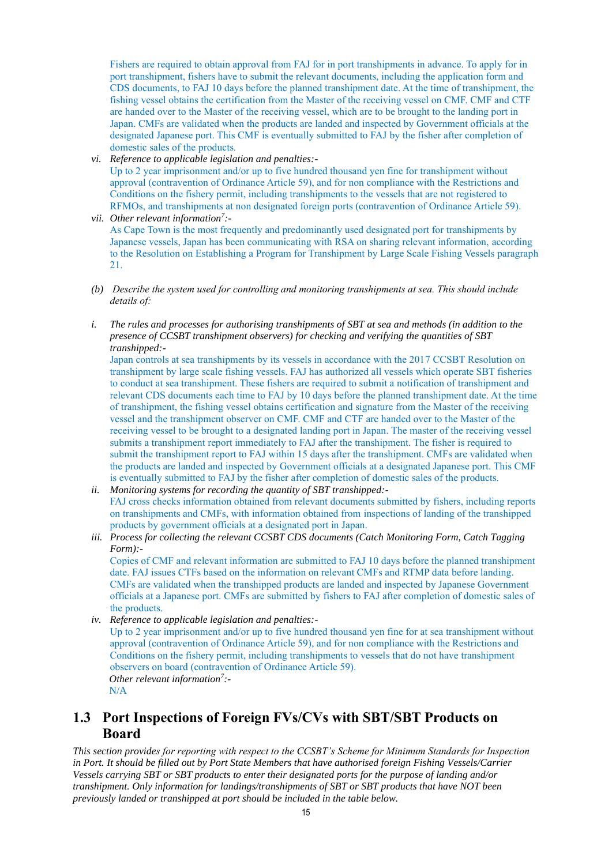Fishers are required to obtain approval from FAJ for in port transhipments in advance. To apply for in port transhipment, fishers have to submit the relevant documents, including the application form and CDS documents, to FAJ 10 days before the planned transhipment date. At the time of transhipment, the fishing vessel obtains the certification from the Master of the receiving vessel on CMF. CMF and CTF are handed over to the Master of the receiving vessel, which are to be brought to the landing port in Japan. CMFs are validated when the products are landed and inspected by Government officials at the designated Japanese port. This CMF is eventually submitted to FAJ by the fisher after completion of domestic sales of the products.

- *vi. Reference to applicable legislation and penalties:-* Up to 2 year imprisonment and/or up to five hundred thousand yen fine for transhipment without approval (contravention of Ordinance Article 59), and for non compliance with the Restrictions and Conditions on the fishery permit, including transhipments to the vessels that are not registered to RFMOs, and transhipments at non designated foreign ports (contravention of Ordinance Article 59).
- *vii. Other relevant information<sup>7</sup> :-* As Cape Town is the most frequently and predominantly used designated port for transhipments by Japanese vessels, Japan has been communicating with RSA on sharing relevant information, according to the Resolution on Establishing a Program for Transhipment by Large Scale Fishing Vessels paragraph 21.
- *(b) Describe the system used for controlling and monitoring transhipments at sea. This should include details of:*
- *i. The rules and processes for authorising transhipments of SBT at sea and methods (in addition to the presence of CCSBT transhipment observers) for checking and verifying the quantities of SBT transhipped:-*

Japan controls at sea transhipments by its vessels in accordance with the 2017 CCSBT Resolution on transhipment by large scale fishing vessels. FAJ has authorized all vessels which operate SBT fisheries to conduct at sea transhipment. These fishers are required to submit a notification of transhipment and relevant CDS documents each time to FAJ by 10 days before the planned transhipment date. At the time of transhipment, the fishing vessel obtains certification and signature from the Master of the receiving vessel and the transhipment observer on CMF. CMF and CTF are handed over to the Master of the receiving vessel to be brought to a designated landing port in Japan. The master of the receiving vessel submits a transhipment report immediately to FAJ after the transhipment. The fisher is required to submit the transhipment report to FAJ within 15 days after the transhipment. CMFs are validated when the products are landed and inspected by Government officials at a designated Japanese port. This CMF is eventually submitted to FAJ by the fisher after completion of domestic sales of the products.

- *ii. Monitoring systems for recording the quantity of SBT transhipped:-* FAJ cross checks information obtained from relevant documents submitted by fishers, including reports on transhipments and CMFs, with information obtained from inspections of landing of the transhipped products by government officials at a designated port in Japan.
- *iii. Process for collecting the relevant CCSBT CDS documents (Catch Monitoring Form, Catch Tagging Form):-* Copies of CMF and relevant information are submitted to FAJ 10 days before the planned transhipment date. FAJ issues CTFs based on the information on relevant CMFs and RTMP data before landing. CMFs are validated when the transhipped products are landed and inspected by Japanese Government

officials at a Japanese port. CMFs are submitted by fishers to FAJ after completion of domestic sales of the products.

*iv. Reference to applicable legislation and penalties:-* Up to 2 year imprisonment and/or up to five hundred thousand yen fine for at sea transhipment without approval (contravention of Ordinance Article 59), and for non compliance with the Restrictions and Conditions on the fishery permit, including transhipments to vessels that do not have transhipment observers on board (contravention of Ordinance Article 59). *Other relevant information<sup>7</sup> :-*

N/A

# **1.3 Port Inspections of Foreign FVs/CVs with SBT/SBT Products on Board**

*This section provides for reporting with respect to the CCSBT's Scheme for Minimum Standards for Inspection in Port. It should be filled out by Port State Members that have authorised foreign Fishing Vessels/Carrier Vessels carrying SBT or SBT products to enter their designated ports for the purpose of landing and/or transhipment. Only information for landings/transhipments of SBT or SBT products that have NOT been previously landed or transhipped at port should be included in the table below.*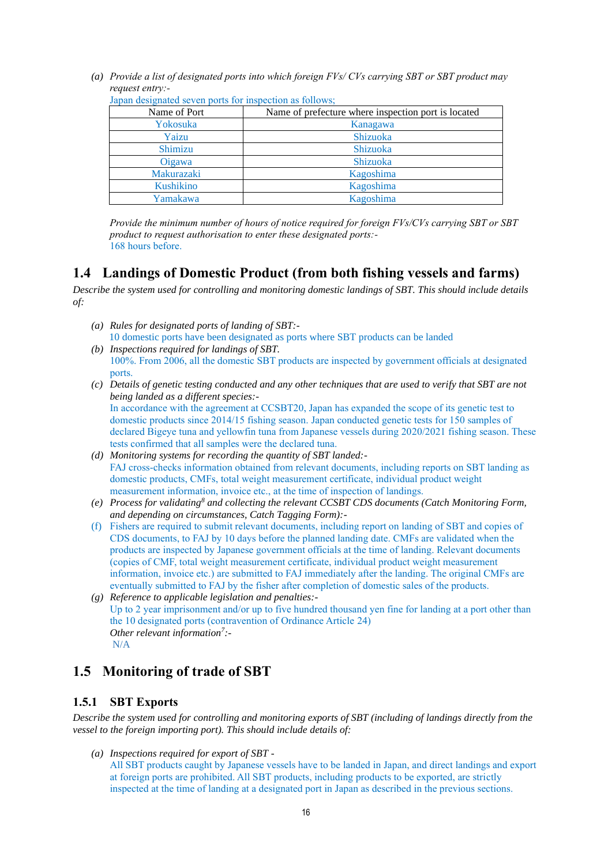*(a) Provide a list of designated ports into which foreign FVs/ CVs carrying SBT or SBT product may request entry:-*

| Name of Port | Name of prefecture where inspection port is located |
|--------------|-----------------------------------------------------|
| Yokosuka     | Kanagawa                                            |
| Yaizu        | Shizuoka                                            |
| Shimizu      | <b>Shizuoka</b>                                     |
| Oigawa       | Shizuoka                                            |
| Makurazaki   | Kagoshima                                           |
| Kushikino    | Kagoshima                                           |
| Yamakawa     | Kagoshima                                           |

Japan designated seven ports for inspection as follows;

*Provide the minimum number of hours of notice required for foreign FVs/CVs carrying SBT or SBT product to request authorisation to enter these designated ports:-* 168 hours before.

#### **1.4 Landings of Domestic Product (from both fishing vessels and farms)**

*Describe the system used for controlling and monitoring domestic landings of SBT. This should include details of:*

- *(a) Rules for designated ports of landing of SBT:-* 10 domestic ports have been designated as ports where SBT products can be landed
- *(b) Inspections required for landings of SBT.*  100%. From 2006, all the domestic SBT products are inspected by government officials at designated ports.
- *(c) Details of genetic testing conducted and any other techniques that are used to verify that SBT are not being landed as a different species:-* In accordance with the agreement at CCSBT20, Japan has expanded the scope of its genetic test to domestic products since 2014/15 fishing season. Japan conducted genetic tests for 150 samples of declared Bigeye tuna and yellowfin tuna from Japanese vessels during 2020/2021 fishing season. These tests confirmed that all samples were the declared tuna.
- *(d) Monitoring systems for recording the quantity of SBT landed:-* FAJ cross-checks information obtained from relevant documents, including reports on SBT landing as domestic products, CMFs, total weight measurement certificate, individual product weight measurement information, invoice etc., at the time of inspection of landings.
- *(e) Process for validating<sup>8</sup> and collecting the relevant CCSBT CDS documents (Catch Monitoring Form, and depending on circumstances, Catch Tagging Form):-*
- (f) Fishers are required to submit relevant documents, including report on landing of SBT and copies of CDS documents, to FAJ by 10 days before the planned landing date. CMFs are validated when the products are inspected by Japanese government officials at the time of landing. Relevant documents (copies of CMF, total weight measurement certificate, individual product weight measurement information, invoice etc.) are submitted to FAJ immediately after the landing. The original CMFs are eventually submitted to FAJ by the fisher after completion of domestic sales of the products.
- *(g) Reference to applicable legislation and penalties:-* Up to 2 year imprisonment and/or up to five hundred thousand yen fine for landing at a port other than the 10 designated ports (contravention of Ordinance Article 24) *Other relevant information<sup>7</sup> :-* N/A

# **1.5 Monitoring of trade of SBT**

#### **1.5.1 SBT Exports**

*Describe the system used for controlling and monitoring exports of SBT (including of landings directly from the vessel to the foreign importing port). This should include details of:*

*(a) Inspections required for export of SBT -*

All SBT products caught by Japanese vessels have to be landed in Japan, and direct landings and export at foreign ports are prohibited. All SBT products, including products to be exported, are strictly inspected at the time of landing at a designated port in Japan as described in the previous sections.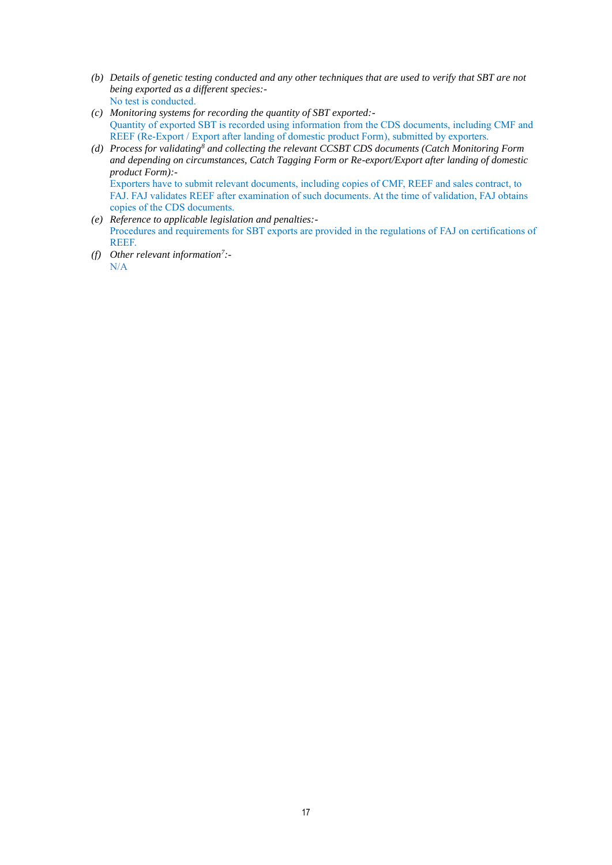- *(b) Details of genetic testing conducted and any other techniques that are used to verify that SBT are not being exported as a different species:-* No test is conducted.
- *(c) Monitoring systems for recording the quantity of SBT exported:-* Quantity of exported SBT is recorded using information from the CDS documents, including CMF and REEF (Re-Export / Export after landing of domestic product Form), submitted by exporters.
- *(d) Process for validating<sup>8</sup> and collecting the relevant CCSBT CDS documents (Catch Monitoring Form and depending on circumstances, Catch Tagging Form or Re-export/Export after landing of domestic product Form):-* Exporters have to submit relevant documents, including copies of CMF, REEF and sales contract, to FAJ. FAJ validates REEF after examination of such documents. At the time of validation, FAJ obtains
- copies of the CDS documents. *(e) Reference to applicable legislation and penalties:-* Procedures and requirements for SBT exports are provided in the regulations of FAJ on certifications of REEF.
- *(f) Other relevant information<sup>7</sup> :-* N/A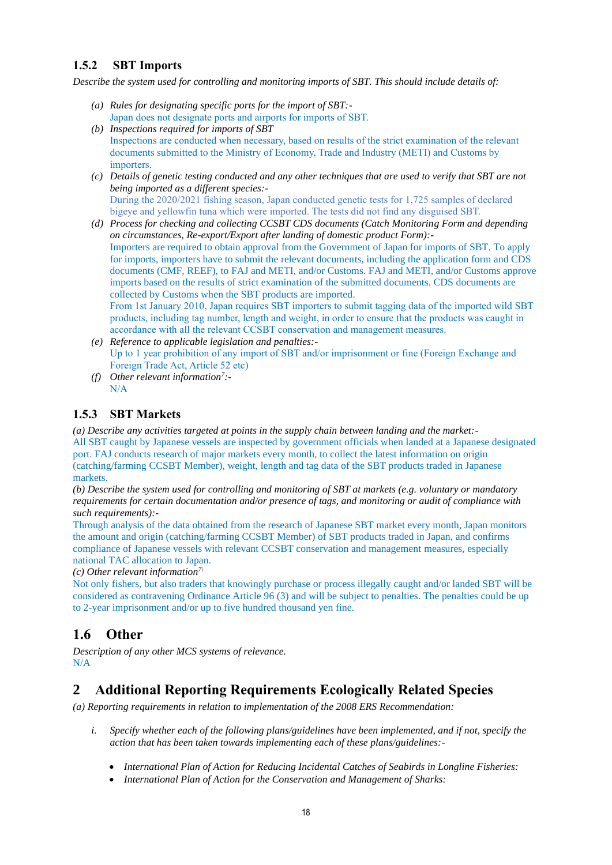## **1.5.2 SBT Imports**

*Describe the system used for controlling and monitoring imports of SBT. This should include details of:*

- *(a) Rules for designating specific ports for the import of SBT:-* Japan does not designate ports and airports for imports of SBT.
- *(b) Inspections required for imports of SBT*  Inspections are conducted when necessary, based on results of the strict examination of the relevant documents submitted to the Ministry of Economy, Trade and Industry (METI) and Customs by importers.
- *(c) Details of genetic testing conducted and any other techniques that are used to verify that SBT are not being imported as a different species:-* During the 2020/2021 fishing season, Japan conducted genetic tests for 1,725 samples of declared bigeye and yellowfin tuna which were imported. The tests did not find any disguised SBT.
- *(d) Process for checking and collecting CCSBT CDS documents (Catch Monitoring Form and depending on circumstances, Re-export/Export after landing of domestic product Form):-* Importers are required to obtain approval from the Government of Japan for imports of SBT. To apply for imports, importers have to submit the relevant documents, including the application form and CDS documents (CMF, REEF), to FAJ and METI, and/or Customs. FAJ and METI, and/or Customs approve imports based on the results of strict examination of the submitted documents. CDS documents are collected by Customs when the SBT products are imported. From 1st January 2010, Japan requires SBT importers to submit tagging data of the imported wild SBT products, including tag number, length and weight, in order to ensure that the products was caught in accordance with all the relevant CCSBT conservation and management measures.
- *(e) Reference to applicable legislation and penalties:-* Up to 1 year prohibition of any import of SBT and/or imprisonment or fine (Foreign Exchange and Foreign Trade Act, Article 52 etc)
- *(f) Other relevant information<sup>7</sup> :-* N/A

#### **1.5.3 SBT Markets**

*(a) Describe any activities targeted at points in the supply chain between landing and the market:-* All SBT caught by Japanese vessels are inspected by government officials when landed at a Japanese designated port. FAJ conducts research of major markets every month, to collect the latest information on origin (catching/farming CCSBT Member), weight, length and tag data of the SBT products traded in Japanese markets.

*(b) Describe the system used for controlling and monitoring of SBT at markets (e.g. voluntary or mandatory requirements for certain documentation and/or presence of tags, and monitoring or audit of compliance with such requirements):-*

Through analysis of the data obtained from the research of Japanese SBT market every month, Japan monitors the amount and origin (catching/farming CCSBT Member) of SBT products traded in Japan, and confirms compliance of Japanese vessels with relevant CCSBT conservation and management measures, especially national TAC allocation to Japan.

*(c) Other relevant information7\*

Not only fishers, but also traders that knowingly purchase or process illegally caught and/or landed SBT will be considered as contravening Ordinance Article 96 (3) and will be subject to penalties. The penalties could be up to 2-year imprisonment and/or up to five hundred thousand yen fine.

## **1.6 Other**

*Description of any other MCS systems of relevance.* N/A

# **2 Additional Reporting Requirements Ecologically Related Species**

*(a) Reporting requirements in relation to implementation of the 2008 ERS Recommendation:*

- *i. Specify whether each of the following plans/guidelines have been implemented, and if not, specify the action that has been taken towards implementing each of these plans/guidelines:-*
	- *International Plan of Action for Reducing Incidental Catches of Seabirds in Longline Fisheries:*
	- *International Plan of Action for the Conservation and Management of Sharks:*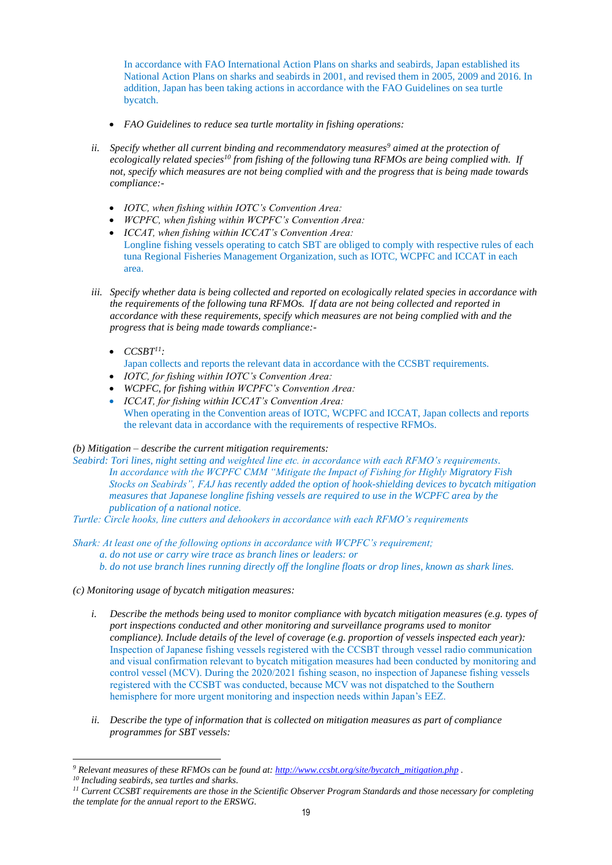In accordance with FAO International Action Plans on sharks and seabirds, Japan established its National Action Plans on sharks and seabirds in 2001, and revised them in 2005, 2009 and 2016. In addition, Japan has been taking actions in accordance with the FAO Guidelines on sea turtle bycatch.

- *FAO Guidelines to reduce sea turtle mortality in fishing operations:*
- *ii. Specify whether all current binding and recommendatory measures<sup>9</sup> aimed at the protection of ecologically related species<sup>10</sup> from fishing of the following tuna RFMOs are being complied with. If not, specify which measures are not being complied with and the progress that is being made towards compliance:-*
	- *IOTC, when fishing within IOTC's Convention Area:*
	- *WCPFC, when fishing within WCPFC's Convention Area:*
	- *ICCAT, when fishing within ICCAT's Convention Area:* Longline fishing vessels operating to catch SBT are obliged to comply with respective rules of each tuna Regional Fisheries Management Organization, such as IOTC, WCPFC and ICCAT in each area.
- *iii. Specify whether data is being collected and reported on ecologically related species in accordance with the requirements of the following tuna RFMOs. If data are not being collected and reported in accordance with these requirements, specify which measures are not being complied with and the progress that is being made towards compliance:-*
	- $\bullet$  *CCSBT<sup>11</sup>*:
		- Japan collects and reports the relevant data in accordance with the CCSBT requirements.
	- *IOTC, for fishing within IOTC's Convention Area:*
	- *WCPFC, for fishing within WCPFC's Convention Area:*
	- *ICCAT, for fishing within ICCAT's Convention Area:* When operating in the Convention areas of IOTC, WCPFC and ICCAT, Japan collects and reports the relevant data in accordance with the requirements of respective RFMOs.

#### *(b) Mitigation – describe the current mitigation requirements:*

*Seabird: Tori lines, night setting and weighted line etc. in accordance with each RFMO's requirements. In accordance with the WCPFC CMM "Mitigate the Impact of Fishing for Highly Migratory Fish Stocks on Seabirds", FAJ has recently added the option of hook-shielding devices to bycatch mitigation measures that Japanese longline fishing vessels are required to use in the WCPFC area by the publication of a national notice.*

*Turtle: Circle hooks, line cutters and dehookers in accordance with each RFMO's requirements*

*Shark: At least one of the following options in accordance with WCPFC's requirement; a. do not use or carry wire trace as branch lines or leaders: or b. do not use branch lines running directly off the longline floats or drop lines, known as shark lines.*

- *(c) Monitoring usage of bycatch mitigation measures:*
	- *i. Describe the methods being used to monitor compliance with bycatch mitigation measures (e.g. types of port inspections conducted and other monitoring and surveillance programs used to monitor compliance). Include details of the level of coverage (e.g. proportion of vessels inspected each year):* Inspection of Japanese fishing vessels registered with the CCSBT through vessel radio communication and visual confirmation relevant to bycatch mitigation measures had been conducted by monitoring and control vessel (MCV). During the 2020/2021 fishing season, no inspection of Japanese fishing vessels registered with the CCSBT was conducted, because MCV was not dispatched to the Southern hemisphere for more urgent monitoring and inspection needs within Japan's EEZ.
	- *ii. Describe the type of information that is collected on mitigation measures as part of compliance programmes for SBT vessels:*

*<sup>9</sup> Relevant measures of these RFMOs can be found at: [http://www.ccsbt.org/site/bycatch\\_mitigation.php](http://www.ccsbt.org/site/bycatch_mitigation.php) .*

*<sup>10</sup> Including seabirds, sea turtles and sharks.*

*<sup>11</sup> Current CCSBT requirements are those in the Scientific Observer Program Standards and those necessary for completing the template for the annual report to the ERSWG.*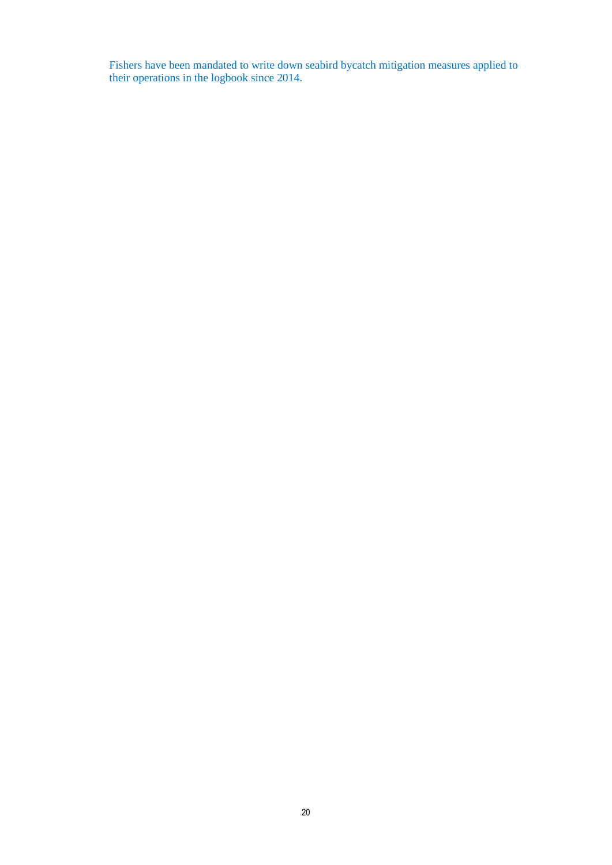Fishers have been mandated to write down seabird bycatch mitigation measures applied to their operations in the logbook since 2014.